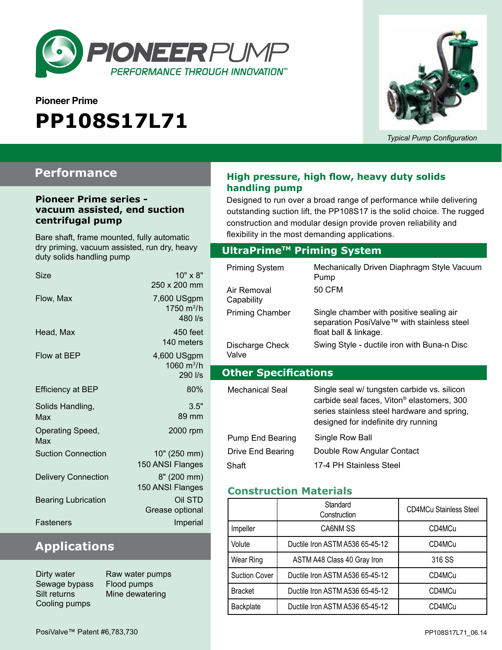

# **Pioneer Prime PP108S17L71**



*Typical Pump Configuration*

## **Performance**

#### **Pioneer Prime series vacuum assisted, end suction centrifugal pump**

Bare shaft, frame mounted, fully automatic dry priming, vacuum assisted, run dry, heavy duty solids handling pump

| Size                       | 10" x 8"<br>250 x 200 mm                         |
|----------------------------|--------------------------------------------------|
| Flow, Max                  | 7,600 USgpm<br>1750 m <sup>3</sup> /h<br>480 l/s |
| Head, Max                  | $450$ feet<br>140 meters                         |
| Flow at BEP                | 4,600 USgpm<br>1060 $m^3/h$<br>290 l/s           |
| <b>Efficiency at BEP</b>   | 80%                                              |
| Solids Handling,<br>Max    | 3.5"<br>89 mm                                    |
| Operating Speed,<br>Max    | 2000 rpm                                         |
| <b>Suction Connection</b>  | 10" (250 mm)<br>150 ANSI Flanges                 |
| <b>Delivery Connection</b> | 8" (200 mm)<br>150 ANSI Flanges                  |
| <b>Bearing Lubrication</b> | Oil STD<br>Grease optional                       |
| Fasteners                  | Imperial                                         |

### **Applications**

Dirty water **Raw water pumps** Sewage bypass Flood pumps Cooling pumps

Silt returns Mine dewatering

### **High pressure, high flow, heavy duty solids handling pump**

Designed to run over a broad range of performance while delivering outstanding suction lift, the PP108S17 is the solid choice. The rugged construction and modular design provide proven reliability and flexibility in the most demanding applications.

### **Optional Priming System UltraPrimeTM Priming System**

| <b>Priming System</b><br>Air Removal | Mechanically Driven Diaphragm Style Vacuum<br>Pump<br>50 CFM                                                                                                                                |
|--------------------------------------|---------------------------------------------------------------------------------------------------------------------------------------------------------------------------------------------|
| Capability                           |                                                                                                                                                                                             |
| <b>Priming Chamber</b>               | Single chamber with positive sealing air<br>separation PosiValve™ with stainless steel<br>float ball & linkage.                                                                             |
| Discharge Check<br>Valve             | Swing Style - ductile iron with Buna-n Disc                                                                                                                                                 |
|                                      |                                                                                                                                                                                             |
| <b>Other Specifications</b>          |                                                                                                                                                                                             |
| Mechanical Seal                      | Single seal w/ tungsten carbide vs. silicon<br>carbide seal faces, Viton <sup>®</sup> elastomers, 300<br>series stainless steel hardware and spring,<br>designed for indefinite dry running |
| <b>Pump End Bearing</b>              | Single Row Ball                                                                                                                                                                             |
| Drive End Bearing                    | Double Row Angular Contact                                                                                                                                                                  |

### **Construction Materials**

|                      | Standard<br>Construction        | <b>CD4MCu Stainless Steel</b> |
|----------------------|---------------------------------|-------------------------------|
| Impeller             | CA6NM SS                        | CD4MCu                        |
| Volute               | Ductile Iron ASTM A536 65-45-12 | CD4MCu                        |
| Wear Ring            | ASTM A48 Class 40 Gray Iron     | 316 SS                        |
| <b>Suction Cover</b> | Ductile Iron ASTM A536 65-45-12 | CD4MCu                        |
| <b>Bracket</b>       | Ductile Iron ASTM A536 65-45-12 | CD4MCu                        |
| <b>Backplate</b>     | Ductile Iron ASTM A536 65-45-12 | CD4MCu                        |